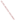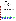

# **Environmental Technology Verification Program**  Advanced Monitoring Systems Center

Generic Verification Protocol for Portable Multigas Analyzers

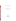## **GENERIC VERIFICATION PROTOCOL**

**FOR** 

## **PORTABLE MULTIGAS ANALYZERS**

**September 2003** 

**Prepared by** 

**Battelle 505 King Avenue Columbus, OH 43201-2693**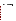#### **FOREWORD**

This generic verification protocol is based upon a peer-reviewed specific test/quality assurance (QA) plan entitled "Test/QA Plan for Verification of Portable Gaseous Emission Analyzers" (dated January 3, 2002). The test/QA plan was developed with vendor and stakeholder input by the ETV Advanced Monitoring Systems Center. Peer reviewers for the test/QA plan were Dr. Donald Stedman, University of Denver; Mr. Ernest Bouffard, Connecticut Department of Environmental Protection; and Mr. Thomas Logan, U.S. Environmental Protection Agency. In preparing this generic verification protocol, specific names of individuals involved, technology vendors and technologies, test dates, and similar details in the test/QA plan were revised to be generic. The experimental design in the protocol is the same as that in the peer-reviewed test/QA plan.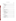## **TABLE OF CONTENTS**

## Page

| 1.               |     |       |    |  |  |  |
|------------------|-----|-------|----|--|--|--|
|                  | 1.1 |       |    |  |  |  |
|                  | 1.2 |       |    |  |  |  |
|                  | 1.3 |       |    |  |  |  |
|                  |     | 1.3.1 |    |  |  |  |
|                  |     | 1.3.2 |    |  |  |  |
|                  |     | 1.3.3 |    |  |  |  |
|                  |     | 1.3.4 |    |  |  |  |
| 2.               |     |       |    |  |  |  |
|                  | 2.1 |       |    |  |  |  |
|                  | 2.2 |       |    |  |  |  |
| 3.               |     |       |    |  |  |  |
| $\overline{4}$ . |     |       |    |  |  |  |
|                  | 4.1 |       |    |  |  |  |
|                  | 4.2 |       |    |  |  |  |
| 5.               |     |       |    |  |  |  |
|                  | 5.1 |       |    |  |  |  |
|                  | 5.2 |       |    |  |  |  |
|                  | 5.3 |       |    |  |  |  |
|                  | 5.4 |       |    |  |  |  |
|                  | 5.5 |       |    |  |  |  |
|                  |     | 5.5.1 |    |  |  |  |
|                  |     | 5.5.2 |    |  |  |  |
|                  |     | 5.5.3 |    |  |  |  |
|                  | 5.6 |       |    |  |  |  |
| 6.               |     |       |    |  |  |  |
|                  | 6.1 |       |    |  |  |  |
|                  |     |       |    |  |  |  |
|                  |     | 6.1.2 |    |  |  |  |
|                  |     | 6.1.3 |    |  |  |  |
|                  | 6.2 |       | 20 |  |  |  |
|                  | 6.3 |       |    |  |  |  |
|                  | 6.4 |       |    |  |  |  |
|                  | 6.5 |       |    |  |  |  |
|                  |     |       |    |  |  |  |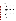## TABLE OF CONTENTS (CONTINUED)

| 7. |      |       |  |
|----|------|-------|--|
|    | 7.1  |       |  |
|    | 7.2  |       |  |
|    | 7.3  |       |  |
|    | 7.4  |       |  |
|    | 7.5  |       |  |
|    | 7.6  |       |  |
|    | 7.7  |       |  |
|    | 7.8  |       |  |
|    | 7.9  |       |  |
|    | 7.10 |       |  |
| 8. |      |       |  |
|    | 8.1  |       |  |
|    |      | 8.1.1 |  |
|    |      | 8.1.2 |  |
|    |      | 8.1.3 |  |
|    |      | 8.1.4 |  |
|    | 8.2  |       |  |
|    |      | 8.2.1 |  |
|    |      | 8.2.2 |  |
|    |      | 8.2.3 |  |
|    |      | 8.2.4 |  |
|    | 8.3  |       |  |
|    | 8.4  |       |  |
| 9. |      |       |  |
|    | 9.1  |       |  |
|    | 9.2  |       |  |
|    |      | 9.2.1 |  |
|    |      | 9.2.2 |  |
|    |      | 9.2.3 |  |
|    |      | 9.2.4 |  |
|    |      | 9.2.5 |  |
|    |      | 9.2.6 |  |
|    |      | 9.2.7 |  |
|    |      | 9.2.8 |  |
|    |      | 9.2.9 |  |
|    |      |       |  |
|    |      |       |  |
|    |      |       |  |
|    | 9.3  |       |  |
|    | 9.4  |       |  |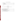## TABLE OF CONTENTS (CONTINUED)

## **List of Figures**

## **List of Tables**

| Table 5. Summary of Data for Determining Accuracy in the |  |
|----------------------------------------------------------|--|
|                                                          |  |
|                                                          |  |
|                                                          |  |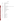## **ACRONYMS**

| <b>AMS</b>      | <b>Advanced Monitoring Systems</b>                                      |  |  |
|-----------------|-------------------------------------------------------------------------|--|--|
| <b>ANSI</b>     | <b>American National Standards Institute</b>                            |  |  |
| <b>Btu</b>      | British thermal unit                                                    |  |  |
| C <sub>2</sub>  | carbon two                                                              |  |  |
| $C_3$           | carbon three                                                            |  |  |
| $C_4$           | carbon four                                                             |  |  |
| <b>CARB</b>     | California Air Resources Board                                          |  |  |
| <b>CE-CERT</b>  | College of Engineering—Center for Environmental Research and Technology |  |  |
| <b>CEM</b>      | continuous emission monitoring                                          |  |  |
| CO              | carbon monoxide                                                         |  |  |
| <b>CTM</b>      | conditional test methods                                                |  |  |
| EC              | electrochemical                                                         |  |  |
| <b>EPA</b>      | <b>Environmental Protection Agency</b>                                  |  |  |
| <b>ETV</b>      | <b>Environmental Technology Verification</b>                            |  |  |
| <b>NDIR</b>     | non-dispersive infrared                                                 |  |  |
| NH <sub>3</sub> | anhydrous ammonia                                                       |  |  |
| NO              | nitric oxide                                                            |  |  |
| NO <sub>2</sub> | nitrogen dioxide                                                        |  |  |
| NO <sub>x</sub> | nitrogen oxide                                                          |  |  |
| O <sub>2</sub>  | oxygen                                                                  |  |  |
| O <sub>3</sub>  | ozone                                                                   |  |  |
| <b>PE</b>       | performance evaluation                                                  |  |  |
| ppmy            | parts per million by volume                                             |  |  |
| QA              | quality assurance                                                       |  |  |
| QMP             | <b>Quality Management Plan</b>                                          |  |  |
| <b>RA</b>       | relative accuracy                                                       |  |  |
| SO <sub>2</sub> | sulfur dioxide                                                          |  |  |
| <b>SOPs</b>     | standard operating procedures                                           |  |  |
| <b>TSA</b>      | technical systems audit                                                 |  |  |
| <b>UV</b>       | ultraviolet                                                             |  |  |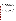## **1 INTRODUCTION**

#### **1.1 Test Description**

This protocol provides generic procedures for implementing a verification test of portable analyzers used to measure gaseous concentrations of nitrogen oxides (nitric oxide [NO] and nitrogen dioxide  $[NO_2]$ , collectively denoted as  $NO_x$ ), carbon monoxide  $(CO)$ , sulfur dioxide  $(SO<sub>2</sub>)$ , and oxygen  $(O<sub>2</sub>)$  from small combustion sources. Verification tests are conducted under the auspices of the U.S. Environmental Protection Agency's (EPA) Environmental Technology Verification (ETV) program. The purpose of ETV is to provide objective and quality-assured performance data on environmental technologies, so that users, developers, regulators, and consultants have an independent and credible assessment of what they are buying and permitting.

Verification tests of monitoring technologies are coordinated by Battelle, of Columbus, Ohio, which is EPA's verification partner for the ETV Advanced Monitoring Systems (AMS) Center. The scope of the AMS Center covers verification of monitoring methods for contaminants and natural species in air, water, and soil. In performing verification tests, Battelle follows the procedures specified in this protocol and complies with quality requirements in the "Quality Management Plan for the ETV Advanced Monitoring Systems Center" (QMP).<sup>(1)</sup>

## **1.2 Test Objective**

The purpose of the verification test described in this protocol is to quantify the performance of commercial portable multigas analyzers by comparisons to standards or to reference methods, under controlled laboratory conditions as well as with realistic emission sources.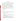#### **1.3 Roles and Responsibilities**

Verification tests are performed by Battelle in cooperation with EPA and the vendors whose analyzers are being verified. The test procedures may be performed by Battelle or by a test facility working under subcontract from Battelle. An organization chart for the verification is shown in Figure 1. In an initial verification under this protocol, the test facility was the Bourns College of Engineering—Center for Environmental Research and Technology (CE-CERT) at the University of California, Riverside. As the test facility, CE-CERT's involvement was subject to Battelle's and EPA's oversight of all planning, testing, and data quality activities. Other qualified test facilities may be used, subject to the same Battelle subcontracting requirement and quality oversight. Throughout this protocol, reference to a test facility's role and responsibilities are representative of any suitably qualified test facility, either at Battelle or through a subcontractor.

Specific responsibilities in each of several areas for verification within ETV are detailed in the following paragraphs.

#### **1.3.1 Battelle**

The AMS Center's Verification Test Coordinator has overall responsibility for ensuring that the technical goals, schedule, and budget established for the verification test are met. More specifically, the Verification Test Coordinator shall

- Serve as Battelle's primary point of contact for vendor and test facility representatives
- Coordinate with the test facility to conduct the verification test, including establishing a subcontract as necessary
- Review and revise, as necessary, the test/quality assurance (OA) plan and ensure that it is followed during the verification test
- Prepare draft verification reports and verification statements, revise according to reviewer comments, and be responsible for distribution of final copies
- Coordinate with the test facility, including review of final data report; respond to any issues raised in assessment reports and audits, including instituting corrective action as necessary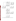

**Figure 1. Organization Chart for Portable Multigas Analyzers Verification Test**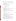The Verification Testing Leader for the AMS Center provides technical guidance and oversees the various stages of the verification test. The Verification Testing Leader shall

- Support the Verification Test Coordinator in revising the test/QA plan (as necessary) and organizing the test
- Review the draft test/QA plan
- Review the draft verification reports and statements
- Ensure that vendor confidentiality is maintained.

The Battelle AMS Center Manager shall

- Review the draft test/QA plan
- Review the draft verification reports and statements
- Ensure that necessary Battelle resources, including staff and facilities, are committed to the verification test
- Ensure that vendor confidentiality is maintained
- Support Verification Test Coordinator in responding to any issues raised in assessment reports and audits
- Maintain communication with the EPA AMS Center Manager and EPA Quality Manager.

The Battelle Quality Manager for the verification test shall

- Review the draft test/QA plan
- Conduct a technical systems audit (TSA) once during the verification test
- Review results of performance evaluation audit(s) specified in the test/QA plan
- Audit at least 10% of the verification data
- Prepare and distribute an assessment report for each audit
- Verify implementation of any necessary corrective action
- Issue a stop work order if internal audits indicate that data quality is being compromised; notify Battelle's AMS Center Manager if such an order is issued
- Provide a summary of the audit activities and results for the verification reports
- Review the draft ETV reports and statements
- Ensure that all quality procedures specified in the test/QA plan and in the  $QMP^{(1)}$  are followed.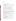## **1.3.2 Test Facility**

The responsibilities of the test facility personnel are to

- Identify a point of contact for the project who will serve as the primary interface with the Verification Test Coordinator
- Assist in establishing a subcontract to perform the work, and adhere to the terms and conditions of that subcontract
- Provide input to the draft test/OA plan, as requested by the Verification Test Coordinator
- Coordinate performance of the verification test in accordance with the test/QA plan
- Adhere to the quality requirements in the test/OA plan and in the OMP
- Ensure that confidentiality of vendor information is maintained
- Ensure that necessary test facility resources are committed to the verification test
- Maintain communication with Battelle's Verification Testing Leader and Quality Manager
- Assist vendors or trained operator in setting up the portable analyzers for verification tests
- Prepare a test data report for each portable emission analyzer tested, summarizing the procedures and results of the verification test, and including copies and supporting information for all raw test data. The test data report should be submitted to Battelle within the schedule specified in the subcontract.
- Assemble trained technical staff to operate each combustion source and the reference methods for the verification test
- Ensure that the resources necessary to operate each combustion source are committed to the verification test for the times and dates specified in the verification test schedule
- Ensure that each combustion source is fully functional prior to the times and dates of the verification test
- Oversee technical staff in combustion source operation and reference method performance during the verification test
- Ensure that operating conditions and procedures for each combustion source are recorded during the verification test
- Review and approve all data and records related to emission source operation
- Provide input on combustion source operating conditions and procedures for the test data report on each analyzer tested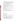- Provide daily on-site support (e.g., access to telephone or office facilities; basic laboratory supplies) to vendor, EPA, and Battelle representatives as needed
- Document any repairs and maintenance conducted on the analyzers, including description of repair and maintenance performed, vendor time required to perform repair or maintenance, and amount of analyzer downtime.
- Convert analyzer and reference data from electronic spreadsheet format into appropriate file format for statistical evaluation
- Perform statistical calculations specified in this protocol
- Provide documentation of results for the verification reports as specified in the test/QA plan. These may include raw data results, calculations, QA/quality controlresults, and audit reports.
- Assist in the performance of TSAs performance audits, and pre-test facility reviews by the Battelle and EPA Quality Managers
- Perform such audits and data reviews as are necessary to assure data quality in all verification testing
- Respond to any issues raised in assessment reports and audits, including instituting corrective action as necessary
- Prepare and distribute an assessment report for each audit
- Verify implementation of any necessary corrective action
- Issue a stop work order if internal audits indicate that data quality is being compromised; notify Battelle Verification Test Coordinator if stop work order is issued.

## **1.3.3 Vendors**

Vendor representatives shall

- Review the draft test/OA plan
- Approve the final test/QA plan
- Interface with the Battelle Verification Test Coordinator to make all arrangements for the verification test
- Sign an AMS Center vendor agreement for the verification process and pay a verification fee that will partially cover the costs of the testing
- Provide two identical portable analyzers for the duration of the verification test
- Commit a trained technical representative to operate, maintain, and repair the portable analyzers throughout the verification test or train an operator to perform these tasks and sign a consent form indicating training occured
- Review their respective draft ETV verification reports and statements.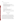#### EPA's Quality Manager for the AMS Center shall

- Review the draft test/QA plan
- Perform, at EPA's option, one external TSA during the verification test
- Notify the EPA AMS Center Manager to facilitate a stop work order if the external audit indicates that data quality is being compromised
- Prepare and distribute an assessment report summarizing results of any external audit
- Review the draft verification reports and statements.

#### EPA's AMS Center Manager shall

- Review the draft test/QA plan
- Notify Battelle's AMS Center Manager if a stop work order is issued
- Review the draft ETV verification reports and statements
- Oversee the EPA review process on the draft test/QA plan, reports, and verification statements
- Coordinate the submission of ETV verification reports and statements for final EPA approval.

## **2 VERIFICATION TESTING**

#### **2.1 Introduction**

This generic protocol is applicable to the verification testing of portable analyzers for determining gaseous concentrations of  $SO_2$ ,  $CO$ ,  $O_2$ , and  $NO_x$  in controlled and uncontrolled emissions from small combustion sources such as reciprocating engines, combustion turbines, furnaces, boilers, and water heaters utilizing fuels such as natural gas, propane, butane, coal, and fuel oils. The analyzers tested under this protocol should be commercial devices, capable of being operated by a single person at multiple measurement locations in a single day, using 110 volt alternating current electrical power or self-contained battery power. Although the size and weight of portable analyzers may vary considerably, the requirement for portability implies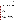a total weight of less than 50 pounds, size of about one cubic foot or less, and minimal need for expendable supplies. The portable analyzers generally rely on one or more of the following detection principles: (1) electrochemical (EC) sensors, (2) chemiluminescence emitted from the reaction of NO with ozone  $(O_3)$  produced within the analyzer, (3) non-dispersive infrared (NDIR) absorption, (4) fluorescence detection, and/or (5) ultraviolet (UV) absorption. The analyzers determine concentrations of  $SO<sub>2</sub>$ ,  $CO$ , and  $O<sub>2</sub>$  directly. The analyzers may also determine NO and  $NO_2$  (separately reporting  $NO_x$  as the sum of these species) or may determine total  $NO<sub>x</sub>$  directly. A sample conditioning inlet, generally consisting of a means to cool and dry the sample gas stream, is often a standard component of the analyzers.

Verification testing requires a reference for establishing the quantitative performance of the tested technologies. In laboratory verification testing under this protocol, the reference will be EPA Protocol Gas Standards for  $SO_2$ ,  $CO$ ,  $O_2$ , NO, and  $NO_2$ . For the combustion source testing conducted under this protocol, the reference will be measurements based on the methods described in 40 CFR Part 60 Appendix A, i.e., EPA Methods 6C for  $SO_2$ <sup>(2)</sup> State of California Air Resources Board (CARB) Method 100 for CO,<sup>(3)</sup> EPA Method 3A for  $O_2$ ,<sup>(4)</sup> and EPA Method 7E for  $NO<sub>x</sub>$ .<sup>(5)</sup> These methods are further described in Section 5.2.

This protocol calls for the use of diverse small combustion sources during verification testing. Other sources may be substituted if they are more appropriate than those specified for the analyzers being tested.

#### **2.2 Scope**

The overall objective of the test described in this protocol is to provide quantitative verification of the performance of the portable analyzers in measuring gaseous concentrations of  $SO_2$ ,  $CO$ ,  $O_2$ ,  $NO$ ,  $NO_2$ , and/or  $NO_x$  under realistic test conditions. The portable analyzers are commonly used for combustion efficiency checks, spot checks of pollution control equipment, and periodic monitoring applications of source emissions. In such applications the portable analyzers are used where a reference method, implemented as part of a continuous emission monitoring (CEM) system, is not required.

It is beyond the scope of an ETV test to simulate the exposure history and aging processes that may occur over the entire useful life of a portable analyzer. For example, it has been established that EC NO analyzers may exhibit drift that depends upon their past history of use and the current ambient temperature. Furthermore, EC analyzers in general use interference

8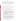rejection materials that may deteriorate with age. These long-term changes in EC analyzers cannot be simulated in this verification test; however, appropriate QA/quality control guidelines to account for such effects have been published in EPA's Conditional Test Methods (CTM) -022 and  $-030$ .<sup> $(6,7)$ </sup> Application of those guidelines is recommended to assure continued operation of EC analyzers at the levels of performance established in a verification test.

## **3 DEFINITIONS**

**Accuracy—**The degree of agreement of an analyzer's response with that of the reference method, determined in simultaneous sampling of emissions from realistic combustion sources.

**Ambient Temperature Effect**—The dependence of an analyzer's response on the temperature of the environment in which it is operating, a potential cause of span and zero drift.

**Analyzer**—The total equipment required for determining target gas concentrations, by whatever analytical approach. The analyzer may consist of the following major subsystems:

- 1. **Sample Conditioning Inlet**. That portion of the analyzer used for one or more of the following: sample acquisition, sample transport, sample conditioning, or protection of the analyzer from the effects of the stack effluent, particulate matter, or condensed moisture. Components may include filters, heated lines, a sampling probe, external interference gas scrubbers, and a moisture removal system.
- 2. **External Interference Gas Scrubber.** A device located external to an EC cell or other detector; used to remove or neutralize compounds likely to interfere with the selective operation of the detector.
- 3. **Detector.** That portion of an analyzer that senses the gas to be measured and generates an output proportional to its concentration. The detection principle may be EC, chemiluminescent, NDIR, fluorescent, UV absorption, or other suitable approaches.
- 4. **Moisture Removal System.** Any device used to reduce the concentration of moisture from the sample stream for the purpose of protecting the analyzer from the damaging effects of condensation and corrosion and/or for the purpose of minimizing errors in readings caused by scrubbing soluble gases. Such systems may function by cooling the sample gas or by drying it through permeation or other means.
- 5. **Data Recorder**. A strip chart recorder, computer, display, or digital recorder for recording measurement data from the analyzer output. A digital data display may be used when recording measurements manually.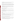**Data Completeness—The ratio of the amount of**  $SO_2$ **,**  $CO$ **,**  $O_2$ **, and/or**  $NO_x$  **data obtained from** an analyzer to the maximum amount of data that could be obtained in a test.

**Detection Limit—The analyte concentration at which the average analyzer response equals** three times the standard deviation of the noise level when sampling zero gas. The detection limit may be a function of the response time, which should be stated when the detection limit is cited.

**Gas Dilution System**—An instrument or apparatus equipped with mass flow controllers, capable of flow control to  $\pm 1\%$  accuracy, and used for dilution of span or interference gases to concentrations suitable for testing analyzers.

**Fall Time**—The amount of time required for the analyzer to achieve 95% response to a step decrease in target gas concentration.

**Inter-Unit Repeatability**—The extent to which two identical analyzers from a single vendor, tested simultaneously, provide data that agree. The statistical definition of agreement may vary depending on the test conditions.

**Interferences**—Response of the analyzer to a constituent of the sample gas other than the target analytes.

**Interrupted Sampling**—A test in which an analyzer is turned off for at least 12 hours and its performance checked both before and after the interruption. This test assesses how well the analyzer maintains its performance in the face of being turned on and off.

**Linearity**—The linear proportional relationship expected between analyte concentration and analyzer response over the full measuring range of the analyzer.

**Measurement Stability**—The uniformity of an analyzer's response over time, assessed relative to that of the reference method, while sampling steady-state emissions from a combustion source. Stability over periods of one hour or more is of interest.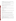**Measuring Range**—The range of concentrations over which each analyzer is designed to operate. Several measuring ranges may be used in testing any given analyzer, as long as suitable zero and span checks are performed on the measuring ranges used.

**Refresh Cycle—A** period of sampling fresh ambient air, required to maintain correct operation of an EC analyzer by replenishing oxygen and moisture in the EC cell.

**Response Time—The amount of time required for the analyzer to achieve 95% response to a** step change in target gas concentration.

**Rise Time**—The amount of time required for the analyzer to achieve 95% response to a step increase in target gas concentration.

**Sample Flow Rate**—The flow rate of the analyzer's internal sample pump under conditions of zero head pressure.

**Span Calibration**—Adjustment of the analyzer's response to match the standard concentration provided during a span check.

**Span Check**—Observation of the response of the analyzer to a gas containing a standard concentration of at least 90% of the upper limit of the analyzer's measuring range.

**Span Drift**—The extent to which an analyzer's reading on a span gas changes over time.

**Span Gas**—A known concentration of a target analyte in an appropriate diluent gas, e.g., NO in oxygen-free nitrogen. EPA Protocol Gases are used as span gases in this verification test.

**Zero Calibration**—Adjustment of an analyzer's response to zero based upon sampling of highpurity gas (e.g., air or nitrogen) during a zero check.

**Zero Check**—Observation of the response of the analyzer to a gas containing no target analytes, without adjustment of the analyzer's response. High-purity nitrogen or air may be used as the zero gas.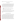**Zero Drift**—The extent to which an analyzer's reading on zero gas changes over time.

## **4 EMISSION SOURCES**

Verification testing under this protocol should be conducted by Battelle or under Battelle direction by a test facility with suitable capabilities and demonstrated experience. Laboratory and source testing should be conducted by field testing staff, using equipment and test facilities on hand. Analyzers being tested will be operated by vendor staff or trained operator during testing. The analyzers should be verified in part by sampling the emissions from combustion sources intended to provide emission concentration levels in the following three ranges:

Low:  $SO_2 < 20$  parts per million by volume (ppmv),  $CO < 20$  ppmv; total  $NO_x$  $<$  20 ppmv Medium:  $SO_2$  200 to 500 ppmv; CO 500 to 1000 ppmv; total  $NO_x$  100 to 500 ppmv High:  $SO_2 > 900$  ppmv;  $CO > 1,900$  ppmv; total  $NO_x > 1,000$  ppmv.

In addition, these combustion sources shall produce  $O_2$  levels as low as <5%. Previously characterized combustion sources should be used to provide these emission levels. Vendors may choose not to test their analyzers on sources or over concentration ranges that are not appropriate.

#### **4.1 Commercial Range Burner Cooktop**

A commercial natural gas-fired cooktop with four range burners may be used to generate  $CO$ ,  $O_2$ , and  $NO_x$  emissions in a wide range of concentrations. The cooktop can have any combination of one to four burners in operation. In addition, the firing rate of each burner can be adjusted from 0 to 8,500 British thermal units (Btu) per hour (0 to 8.5 Kbtu/hr). The cooktop should have an overall maximum firing rate of 34,000 Btu per hour (34 KBtu/hr). This appliance should be capable of generating  $O_2$  and  $NO_x$  emissions of various concentrations as a function of the number of burners operating and firing rates of each burner. Furthermore, it should be possible to manipulate CO concentrations by adjusting the combustion air flow rate on individual burners. Emissions from this source shall be captured prior to measurement using a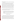quartz collection dome designed according to the Z21.1 specifications of the American National Standards Institute (ANSI).

Installation of the cooktop, the gas supply pressure regulators, and inlet and outlet piping shall all be in accordance with the manufacturer's instructions. The gas usage of the burners over the test interval shall be measured in cubic feet with a dry gas meter or other flow monitoring device accurate to within about  $\pm 1\%$ . The dry gas meter reading shall be corrected for gas pressure and temperature. Burners shall be operated at various conditions to generate the required emission concentrations. The burners shall be operated with the ANSI quartz collection dome and the standard loads in place. The sample location shall be a minimum of eight duct diameters downstream of flow disturbances (valves, reducers, elbows, etc.) and a minimum of two duct diameters upstream of the closest flow disturbance (including the end of a duct or pipe open to the atmosphere). The exhaust stream shall be sampled at the center point of the flue vent.

Comparison of test data should be facilitated by operating the device until steady-state conditions are attained, before acquiring test data. Generally, steady state can be defined by one or more of the following conditions over a 15-minute interval:

- Temperature changes in the center of the exhaust duct of not more than  $+10^{\circ}$ C
- NO<sub>x</sub> changes at the center of the exhaust duct of not more than  $+10\%$  relative to the mean over the 15-minute interval as determined using the EPA reference method (see Section 5.2)
- $O_2$  changes at the center of the exhaust duct of not more than  $\pm$  0.50% absolute (+ 5,000 ppmv) from the mean sampled over the 15-minute interval.

#### **4.2 Small Diesel-Fueled Engine**

A portable diesel engine may be used to generate a wide range of  $SO<sub>2</sub>$  and  $NO<sub>x</sub>$  emissions and  $O<sub>2</sub>$  concentrations. The engine should be mounted to an eddy-current dynamometer so that engine load, and consequently emission concentrations, may be varied over a wide range. The exhaust should be ducted into a dilution tunnel. The dilution ratio can be adjusted from zero to 200:1 using a positive displacement (roots-type) blower with a variable frequency drive. By operating the engine dynamometer at different loads and adjusting the dilution ratio of exhaust gases, a wide range of emissions concentrations can be generated. For example, the Hatz Model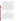1B20 engine produces from about 75 to nearly 700 ppmv NO<sub>x</sub>, depending on load. By varying dilution ratios and timing,  $NO<sub>x</sub>$  emissions from 1 ppmv to over 1,000 ppmv can be generated. The diesel fuel used in operating this generator will have a high sulfur content to generate the required concentrations of  $SO_2$ . A single batch of fuel sufficient for all tests shall be obtained, so that fuel composition will be constant during testing.

The diesel engine shall be set up and operated in accordance with the manufacturer's instructions. The engine should be mounted to a test stand and be coupled with an eddy-current dynamometer. The dynamometer controller shall be used to set engine speed and load conditions for testing. The exhaust from the generator shall be horizontally discharged into a dilution tunnel. The sample location shall be a minimum of eight duct diameters downstream of any flow disturbance, and a minimum of two duct diameters upstream of the closest flow disturbance (including the end of a duct or pipe open to the atmosphere). The exhaust streams shall be sampled at the center point of the dilution tunnel. The air/ fuel mixture, timing, load, and dilution ratios shall be checked and adjusted to the correct operation criteria and the target emission concentrations. The device shall be operated until steady-state conditions are approached, as described in Section 4.1, before data collection for verification takes place.

## **5 EXPERIMENTAL DESIGN**

#### **5.1 General Description of Verification Test**

The verification test shall consist of laboratory and combustion source experiments. In all experimental activities, two identical portable multigas analyzers shall be operated side by side, and the performance of each shall be quantified individually, i.e., data from the two units will not be pooled. One pair of analyzers from one vendor should undergo testing on successive days, without interruption. Each analyzer should be verified on its measurements of as many of the following parameters as are applicable:  $SO_2$ ,  $CO$ ,  $O_2$ ,  $NO$ , and  $NO_2$ . Each analyzer should be verified independently of any other analyzers participating in this verification test. That is, no intercomparison or ranking of the analyzers from different vendors shall be made at any time during the verification test. Data from the analyzers tested shall be segregated in the data acquisition and analysis processes. The performance of each analyzer shall be quantified on the basis of statistical procedures stated in Section 9 of this protocol, and the respective verification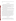US EPA ARCHIVE DOCUMENT

results shall be documented in a verification report that is reviewed in draft form by the analyzer vendor.

#### **5.2 Reference Methods**

The reference method used for  $SO_2$  in the verification test shall be based on EPA Method 6C, "Determination of Sulfur Dioxide Emissions from Stationary Sources (Instrumental Analyzer Procedure)."<sup>(2)</sup> With this method,  $SO_2$  in sample gas extracted from a stack is detected by UV absorption, NDIR absorption, or pulsed fluorescence methods.

The reference method used for CO shall be based on CARB Method 100, "Procedure for Continuous Gaseous Emission Stack Sampling."(3) With this method, CO in sample gas extracted from a stack is detected by NDIR.

The reference method used for  $O_2$  shall be based on EPA Method 3A, "Determination of Oxygen and Carbon Dioxide Concentrations in Emissions from Stationary Sources (Instrumental Analyzer Procedure)."<sup>(4)</sup> With this method, a portion of the sample gas extracted from a stack is conveyed to instruments for  $O_2$  detection.

The reference method used for  $NO<sub>x</sub>$  in this verification test will be based on EPA Method 7E, "Determination of Nitrogen Oxides Emissions from Stationary Sources (Instrumental Analyzer Procedure)."<sup>(5)</sup> This method is set forth in 40 CFR Part 60, Appendix A. With this method, NO in sample gas extracted from a stack is detected by chemiluminescence resulting from its reaction with ozone, produced in excess within the analyzer. A heated converter reduces  $NO<sub>2</sub>$  to  $NO<sub>2</sub>$  for detection. While  $NO<sub>2</sub>$  is detected directly,  $NO<sub>2</sub>$  is inferred by the difference between the NO reading and the  $NO<sub>x</sub> (= NO + NO<sub>2</sub>)$  reading obtained with the heated converter. Modifications to Method 7E procedures may be used, based upon past experience or common practice, provided that those modifications are indicated in the test report. For example, it is recommended that the EPA Approved Alternative Method for checking the converter efficiency (i.e., using an  $NO<sub>2</sub>$  Protocol Gas) be employed.<sup>(8)</sup>

#### **5.3 Laboratory Tests**

Initial tests shall be performed in a laboratory setting, i.e., without the use of a combustion source. The standard of comparison in the laboratory tests shall be commercially obtained EPA Protocol Gas standards for  $SO_2$ , CO,  $O_2$ , NO, and NO<sub>2</sub>. The laboratory tests to be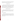performed, the objective of each test, and the number of measurements to be made in each test are summarized in Table 1. Procedures for performing these tests are specified in Section 7. Statistical comparisons to be made with the data are specified in Section 9.

#### **5.4 Combustion Source Tests**

The combustion source tests to be performed, the objective of each test, and the number of measurements to be made in each test are shown in Table 2. The tests listed in Table 2 shall be performed using two combustion sources. The standards of comparison in the combustion tests shall be based on EPA Methods 3A, 6C, 7E, CARB Method 100, and in some cases response to EPA Protocol Gases. Detailed procedures for conducting these tests are provided in Section 7. Statistical comparisons to be made with the data are specified in Section 9.

#### **5.5 Additional Performance Factors**

In addition to the performance parameters listed in Tables 1 and 2, the following factors shall be verified using data from both the laboratory and combustion source tests. Other operational features not yet identified may also become evident during the tests, and will be evaluated.

#### **5.5.1 Inter-Unit Repeatability**

No additional test activities shall be required to assess the inter-unit repeatability of the analyzers. This test shall be based on comparisons of the simultaneous  $SO_2$ ,  $CO$ ,  $O_2$ ,  $NO$ , and/or NO2 data obtained from the two analyzers from each vendor. Repeatability shall be assessed based on data from all laboratory and combustion source tests. Repeatability in each type of test shall be assessed separately.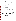| <b>Laboratory Test</b>               | Objective                                                                                       | <b>Total Number of</b><br>Measurements <sup>a</sup> to be Used in<br><b>Verification</b> |
|--------------------------------------|-------------------------------------------------------------------------------------------------|------------------------------------------------------------------------------------------|
| Linearity                            | Determine linearity of response over the<br>full measuring range                                | 21                                                                                       |
| <b>Response Time</b>                 | Determine time needed for analyzer to<br>respond to a change in target analyte<br>concentration | up to 60 (estimated)                                                                     |
| Detection Limit                      | Determine lowest concentration<br>measurable above background signal                            | 9                                                                                        |
| <b>Interferences</b>                 | Determine analyzer response to species<br>other than target species                             | 5                                                                                        |
| <b>Ambient Temperature</b><br>Effect | Determine effect of ambient temperature<br>on analyzer zero and span                            | 12                                                                                       |
| <b>Interrupted Sampling</b>          | Determine effect on response of full<br>analyzer shutdown                                       | 4                                                                                        |
| Pressure<br>Sensitivity              | Determine effect of duct pressure on<br>analyzer sample flow and response                       | 9                                                                                        |

**Table 1. Summary of Laboratory Tests** 

Number of separate measurements to be made in the indicated test for each target analyte  $(SO_2, CO, O_2, NO, or)$  $NO<sub>2</sub>$ ).

| <b>Combustion</b><br><b>Source Test</b> | Objective                                                                                               | Comparison<br><b>Based On</b> | <b>Total Number of</b><br>Measurements <sup>a</sup> to<br>be Used in<br><b>Verification</b> |
|-----------------------------------------|---------------------------------------------------------------------------------------------------------|-------------------------------|---------------------------------------------------------------------------------------------|
| Accuracy                                | Determine degree of agreement<br>with reference method                                                  | Reference Method              | 45                                                                                          |
| Zero/Span Drift                         | Determine change in zero gas and<br>span gas response due to exposure<br>to combustion source emissions | Gas Standards                 | 50 <sup>b</sup>                                                                             |
| Measurement<br>Stability                | Determine the analyzer's ability to<br>sample combustion source<br>emissions for an extended time       | Reference Method              | 60 <sup>c</sup>                                                                             |

**Table 2. Summary of Combustion Source Tests** 

Number of separate measurements to be made in the indicated test for each target analyte  $(SO_2, CO, O_2, NO, or$ 

 $NO<sub>2</sub>$ ).<br>
b Augmented with eight additional measurements from the linearity and ambient temperature tests (see Section 7.9).

Data collected once per minute for one hour of measurement. c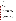#### **5.5.2 Data Completeness**

No additional test activities shall be required to determine the data completeness achieved by the analyzers. Data completeness shall be assessed based on the  $SO_2$ ,  $CO$ ,  $O_2$ ,  $NO$ ,  $NO<sub>2</sub>$ , and/or  $NO<sub>x</sub>$  data recovered from each analyzer relative to the maximum amount of data that could have been recovered.

#### **5.5.3 Cost**

Analyzer cost shall be provided by the vendor and include the full purchase cost of the analyzer as used in this verification test, i.e., including all accessories and sampling components.

#### **5.6 Test Schedule**

Verification testing shall be conducted by performing the tests described above in a fixed sequence. The analyzers provided by each vendor shall undergo that full test sequence, one vendor at a time. The sequence of testing activities is expected to take up to six days to complete. An example schedule of those test days is shown in Table 3. The first four days are devoted to laboratory testing and the last two to source emissions testing. Each vendor's analyzers will be tested on successive days, without interruption of the test sequence.

## **6 MATERIALS AND EQUIPMENT**

#### **6.1 Gases**

#### **6.1.1 EPA Protocol Gases**

The span gases used for testing and calibration of  $SO_2$ ,  $CO$ ,  $O_2$ ,  $NO$ , and  $NO_2$  shall be EPA Protocol Number 1 gases, $^{(9)}$  obtained from a commercial supplier. These gases shall be accompanied by a certificate of analysis that includes the uncertainty of the analytical procedures used to confirm the span gas concentration. Span gases shall be obtained in concentrations that match or exceed the highest measuring ranges of any analyzer to be tested, e.g., 2,000 ppmv for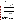$SO_2$ ; 4,000 ppmv for CO; 21% for  $O_2$ ; 4,000 ppmv for NO; and 400 ppmv for NO<sub>2</sub> are likely to be appropriate.

| <b>Test Day</b> | <b>Approximate Time Period</b> | <b>Testing Activity</b>                                                                       |  |
|-----------------|--------------------------------|-----------------------------------------------------------------------------------------------|--|
| One             | 0800-1300                      | Check and prepare analyzers for testing<br>(vendor).                                          |  |
|                 | 1300-1700                      | Begin linearity test, including detection limit<br>and response time determinations.          |  |
| Two             | 0800-1200                      | Continue linearity test, including detection<br>limit and response time determinations.       |  |
|                 | 1300-1700                      | Complete linearity test.                                                                      |  |
|                 | 1700-Overnight                 | Begin interrupted sampling test.                                                              |  |
| <b>Three</b>    | 0800-0900                      | Complete interrupted sampling test.                                                           |  |
|                 | 0900-1200                      | Conduct interference test.                                                                    |  |
|                 | 1300-1700                      | Conduct pressure sensitivity test.                                                            |  |
| Four            | 0800-1200                      | Begin ambient temperature test.                                                               |  |
|                 | 1300-1700                      | Complete ambient temperature test.                                                            |  |
| Five            | 0800-1200                      | Begin relative accuracy test with range burner<br>cooktop, including zero/span drift test.    |  |
|                 | 1300-1700                      | Complete relative accuracy test with range<br>burner cooktop, including zero/span drift test. |  |
| <b>Six</b>      | 0800-1200                      | Begin relative accuracy test with diesel engine,<br>including zero/span drift test.           |  |
|                 | 1300-1700                      | Complete relative accuracy test with diesel<br>engine, including zero/span drift test.        |  |

## **6.1.2 Interference Gases**

Compressed gas standards for use in testing interference effects shall be obtained from a commercial supplier. These gases must be gravimetrically prepared and must be certified standards with a preparation accuracy (relative to the nominal target concentration) within  $\pm 10\%$ and an analytical accuracy (i.e., confirmation of the actual standard concentration by the supplier) within  $\pm 2\%$ . Each interference gas must be accompanied by a certificate indicating the analytical results and the uncertainty of the analytical procedures used to confirm the concen-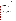tration. Each interference gas shall contain a single interferent in a matrix of high-purity air or nitrogen. The interference gas concentrations will be approximately:  $CO_2$ , 5%;  $H_2$ , 100 ppmv; anhydrous ammonia  $(NH_3)$ , 500 ppmv; and hydrocarbons, approximately 500 ppmv methane, 100 ppmv carbon 2 (C<sub>2</sub>) compounds, and 50 ppmv total carbon 3 (C<sub>3</sub>) and carbon 4 (C<sub>4</sub>) compounds. The  $SO_2$ , NO, and  $NO_2$  protocol gases will be used for interference testing of those species.

#### **6.1.3 High-Purity Nitrogen/Air**

The high-purity gases used for zeroing the reference methods and the commercial analyzers and diluting EPA protocol gases and interference gases must be air or nitrogen, designated by the supplier as CEM-grade Acid Rain, CEM-grade Zero Gas, or comparable. A certificate of gas composition shall be obtained from the supplier confirming the quality of the gas.

#### **6.2 Reference Instruments**

SO<sub>2</sub> reference measurements shall be performed based on EPA Method  $6C^{(2)}$  using a commercially available UV monitor. CO reference measurements shall be performed based on CARB Method  $100^{(3)}$  using a commercially available NDIR monitor. O<sub>2</sub> reference measurements shall be performed based on EPA Method  $3A^{(4)}$  using a commercially available monitor employing paramagnetic pressure detection. NO and NO<sub>x</sub> reference measurements shall be performed based on EPA Method  $7E^{(5)}$  using commercially available chemiluminescent monitors. The monitors used must have measurement ranges suitable for the variety of combustion sources to be used; e.g., ranges from less than 10 ppmv to over 1,000 ppmv full scale (1% to 25% for  $O_2$ ) are desirable. The calibration procedures for these monitors for this test are described in Section 8.1.1.

#### **6.3 Dilution System**

The dilution system used for preparing calibration gas mixtures must have mass flow control capabilities for both dilution gas and span gas flows. The dilution system may be commercially produced or assembled from separate commercial components. It must be capable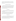of accepting a flow of compressed gas standard and diluting it over a wide range with highpurity nitrogen or air. Dilution factors ranging from about 4:5 to about 1:100 are required; a dilution factor of up to 1:1,000 is desirable. Calibration of the dilution system before the test is described in Section 8.1.2.

#### **6.4 Temperature Sensors/Thermometers**

The sensor used to monitor temperature in the exhaust stack or duct during experiments on combustion source emissions must be a thermocouple equipped with a digital readout device. The thermometers used for measuring room or chamber air temperature may be mercury-inglass, thermocouple, or other types as long as they provide an accuracy within approximately  $\pm 1^{\circ}$ F as determined through pre-test calibration. Calibration requirements for temperature measurements are presented in Section 8.1.3.

#### **6.5 Gas Flow Meters**

The natural gas flow to the gas burner and water heater must be monitored during use with a dry gas meter and associated readout device. Dry gas meter readings will be corrected for temperature and pressure.

Rotameters, automated bubble flow meters, or other devices capable of indicating the analyzer flow rate within  $\pm 5\%$  will be used in tests of the flow-rate stability of the analyzers (Section 7.7). Certification of flow-rate precision should be obtained from the supplier. Calibration requirements for flow-rate measurements are presented in Section 8.1.4.

## **7 TEST PROCEDURES**

Each vendor's analyzers (i.e., two identical units) shall be subjected to this test procedure simultaneously. However, only one vendor's analyzers shall undergo testing at one time. The schedule and sequence of testing are specified in Section 5.6. As noted previously, the verification test cannot address analyzer behavior that occurs after an extended exposure history or because of changes in the analyzer itself due to long-term use.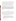In some of the verification test procedures, a relatively small number of data points will be obtained to evaluate performance. For example, response times (i.e., rise and fall time) will be determined based on a single trial, albeit by means of recording several successive readings. Similarly, zero/span drift, temperature and flow effects, etc., will be verified based on a few comparisons of average values determined over short time periods. The quantity of data obtained in the verification test exceeds that obtained in comparable test procedures; $(e.g., 10)$ however, in some cases the data obtained will be sufficient to determine the average value, but not the precision, of the verification result. Tests for which that is the case are identified appropriately in Section 9.

**Note: EC analyzers undergoing testing may require refresh cycles of ambient air sampling to maintain proper operation. This requirement may be particularly important in sampling dry high-purity gases, as in the laboratory tests outlined below. The operators of such analyzers may perform refresh cycles at any time during the test procedures; however, no part of any test procedure will be replaced or eliminated by performance of a refresh cycle.** 

#### **7.1 Linearity**

Linearity of the analyzers shall be verified in the laboratory by establishing multi-point calibration curves. Separate curves shall be established for  $SO_2$ ,  $CO$ ,  $O_2$ ,  $NO$ , and  $NO_2$  on each analyzer. Calibration points shall be run at zero concentration and at target emission concentrations approximating 10, 20, 40, 70, and 100% of the analyzer's nominal full-scale measuring range for each component. The zero point will be sampled six times, and other calibration points three times, for a total of 21 calibration points each for  $SO_2$ ,  $CO$ ,  $O_2$ ,  $NO$ , and  $NO_2$ .

General procedures for the linearity test are as follows:

- 1. Set up the gas dilution system to provide calibration gases by diluting an EPA protocol gas standard for a gas of interest  $(SO_2, CO, O_2, NO, or NO_2)$ .
- 2. Determine the response curve for each individual component on a single vendor's analyzers by the procedure specified below. The two analyzers from each vendor shall be tested simultaneously but independently, i.e., no averaging of results from the two analyzers.

The specific test procedure is as follows: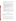- 1. Perform a zero and span calibration for each component on the analyzers to be tested. Make no further adjustments to the zero or span settings of the analyzers once the linearity test has begun.
- 2. Provide a sample flow of the pure diluent gas to the analyzers and record the readings.
- 3. Provide a flow of a span gas concentration approximately equal to the upper limit of the nominal measuring range of the analyzers and record the readings.
- 4. Using the gas dilution system to change the gas concentration as appropriate, determine the response to additional concentration points at zero, 10, 20, 40, 70, and 100% of the nominal measuring range. After every three points, provide pure dilution gas and record the analyzers' readings again.
- 5. The order of obtaining the concentration points in steps 2 to 4 will be as follows: zero, 100%, 10%, 40%, zero, 70%, 20%, 10%, zero, 20%, 40%, 70%, zero, 100%, 70%, 40%, zero, 20%, 10%, 100%, zero.
- 6. At each concentration point, record all responses of the analyzers (i.e.,  $SO_2$ ,  $CO$ ,  $O_2$ , NO, and/or  $NO<sub>2</sub>$ ).
- 7. In the course of the linearity test, conduct the response time test as described in Section 7.2.
- 8. Repeat steps 2 through 7 as needed to complete the linearity and response time tests for all target analytes  $(SO_2, CO, O_2, NO, and NO_2)$ .
- 9. At the completion of steps 2 through 7 for each analyte, a final zero and span check for that analyte may be conducted. Alternatively the final two data points of the linearity test (100% and zero) may be recorded as the final span and zero check readings.

#### **7.2 Response Time**

The rise and fall times of the analyzers shall be established in the laboratory by monitoring the response of the analyzers during the fifth, sixth, and seventh data points (i.e., zero, 70%, and 20% of scale, respectively) in the linearity test (Section 7.1). The following procedure will be followed:

- 1. Determine the analyzer's response at the zero level using pure diluent gas.
- 2. Switch to a calibration gas that is approximately 70% of the analyzer's measurement range.
- 3. Record the analyzer's response at 10-second intervals, until 60 such readings have been recorded or until a stable response to the calibration gas is achieved.
- 4. Switch to a calibration gas that is approximately 20% of the analyzer's measurement range.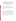- 5. Again record the analyzer's response at 10-second intervals, until 60 such readings have been recorded or until a stable response is achieved.
- 6. Determine the elapsed time required for the analyzer to reach 95% of its final stable response after switching from diluent gas to the 70% calibration gas (rise time), and from the 70% calibration gas to the 20% calibration gas (fall time).
- 7. Perform this test using  $SO_2$ ,  $CO$ ,  $O_2$ ,  $NO$ , and  $NO_2$ , as part of the linearity test, by using the fifth, sixth, and seventh data points of the linearity test as described above.

#### **7.3 Detection Limit**

The detection limits of each analyzer for each analyte shall be verified based on the data obtained at zero concentration (six data points) and at the lowest calibration point (three data points) in the linearity test (Section 7.1). No additional experimental activities shall be conducted. Detection limits shall be determined separately for  $SO_2$ ,  $CO$ ,  $O_2$ ,  $NO$ ,  $NO_2$ , and/or  $NO_x$ , as described in Section 9.2.3.

#### **7.4 Interferences**

The effect of interferences shall be established by supplying the analyzers with test gases containing potential interferents at known concentrations and monitoring the analyzers' responses. The interferent compounds to be tested, the test concentrations, and the target analytes to be evaluated for possible interference are specified in Table 4. Cross-sensitivity of the analyzers to  $SO_2$ ,  $CO$ ,  $O_2$ ,  $NO$ , and  $NO_2$  will be assessed by means of the linearity test data, rather than by additional interference testing. Interference testing will include a test of response to  $SO<sub>2</sub>$  and NO present at the same time; this test particularly targets electrochemical NO sensors, which can be affected by the reaction of  $SO_2$  with  $NO_2$  (formed as a product of the sensor's oxidation of NO in the detection process).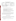| <b>Interferent</b>                      | <b>Interferent Concentration</b>                                                    | <b>Target Analyte</b>                                               |
|-----------------------------------------|-------------------------------------------------------------------------------------|---------------------------------------------------------------------|
| $\mathbf{CO}_2$                         | 5%                                                                                  | $SO_2$ , NO, NO <sub>2</sub> , NO <sub>3</sub> , CO, O <sub>2</sub> |
| $H_2$                                   | $100$ ppm $v$                                                                       | CO <sub>0</sub>                                                     |
| NH <sub>3</sub>                         | $500$ ppm $v$                                                                       | NO, NO <sub>2</sub> , NO <sub>x</sub>                               |
| Hydrocarbon mixture <sup>a</sup>        | ~500 ppmv C <sub>1</sub> , ~100 ppmv C <sub>2</sub> ,<br>~50 ppmv $C_3$ , and $C_4$ | $SO_2$ , NO, NO <sub>2</sub> , NO <sub>3</sub> , CO, O <sub>2</sub> |
| $\vert$ SO <sub>2</sub> and NO together | $\sim$ 400 ppmy each                                                                | $SO_2$ , NO, NO <sub>2</sub> , NO <sub>y</sub>                      |

**Table 4. Summary of Interference Tests** 

<sup>a</sup> C<sub>1</sub> = methane, C<sub>2</sub> = ethane + ethylene, etc.

The procedure for conducting the interference test is as follows:

- 1. Zero the analyzers with high-purity diluent gas (air or nitrogen) and record the readings for all target analytes  $(SO_2, CO, O_2, NO, NO_2, and/or NO_x)$ .
- 2. Supply a potential interferent gas to the analyzers, diluted if necessary to the concentrations shown in Table 4.
- 3. Allow the analyzers to stabilize in sampling the interferent gas and again record the responses to all the pertinent target analytes  $(SO_2, CO, O_2, NO, NO_2, and/or NO<sub>x</sub>)$ .
- 4. Repeat steps 1 to 3 for the entire set of potential interferents.

The results of this test will be up to 30 total measurements of interference response for each analyzer (i.e., readings for the six target analytes for each of the five interferents listed in Table 4). Each measurement of interference response consists of the difference in readings between zero gas and the same diluent gas containing the interferent gas.

#### **7.5 Ambient Temperature Effect**

The effect of ambient temperature on analyzer operation shall be evaluated by comparing the response of the analyzer in the laboratory at room temperature to that in test chambers at both elevated and reduced temperatures. Procedures for this test are as follows:

1. Record the room temperature and actual chamber temperatures during any data collection period.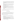- 2. Perform a zero check; a single point span check with  $SO_2$ ,  $CO$ ,  $O_2$ ,  $NO$  and  $NO_2$ ; and another zero check on both analyzers in the laboratory at room temperature. Record the zero and span gas readings. Make no adjustments to the analyzers' zero or span settings after this point.
- 3. Place both analyzers together in a laboratory test chamber, which is heated to  $105^{\circ}F$  $(\pm 5^\circ F)$ .
- 4. Allow one hour in the heated chamber for temperature equilibration. Record the chamber temperature; perform a zero check, a span check, and another zero check; and record the readings.
- 5. Remove the analyzers from the heated chamber and place them together in an adjacent chamber cooled to  $45^{\circ}F$  ( $\pm 5^{\circ}F$ ).
- 6. Allow one hour in the cooled chamber for temperature equilibration. Record the chamber temperature; perform a zero check, a span check; and another zero check; and record the readings.
- 7. Remove the analyzers from the cooled chamber and allow them to warm to room temperature. Perform a zero check, a span check, and another zero check and record the readings.

The ambient temperature test will result in 12 total data points (two zero and one span at each stable temperature condition) for each target analyte.

## **7.6 Interrupted Sampling**

The effect of interrupted sampling on the analyzers shall be assessed in the laboratory by turning the analyzers off at the end of the second test day, i.e., after the linearity test (Section 7.1). The results of a zero and span check conducted at the end of that day shall be compared to results of a similar check when the analyzers are powered up after a shutdown. Specific procedures for this test are as follows:

- 1. Upon completion of the second test day, shut off all power to the analyzer.
- 2. After at least 12 hours, restore power to the analyzer. Make no adjustments of any kind to the analyzers.
- 3. Once the analyzer has stabilized (as indicated by internal diagnostics or operator observations), perform a zero and span check for  $SO_2$ ,  $CO$ ,  $O_2$ ,  $NO$ , and  $NO_2$ , using the same span concentrations used before the shutdown.
- 4. Record the readings and compare them to those obtained before the shutdown period. The readings consist of four data points (zero/span before shutdown and zero/span after shutdown) for each target analyte.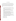#### **7.7 Pressure Sensitivity**

The pressure sensitivity test shall be used to evaluate the ability of an analyzer to maintain a constant sample flow rate in the face of small positive or negative static pressure in the sample duct (relative to atmospheric pressure) and to maintain constant response to  $SO<sub>2</sub>$ ,  $CO<sub>2</sub>$ ,  $O<sub>2</sub>$ , NO, and NO<sub>2</sub> under such conditions. This sensitivity shall be tested in the laboratory by sampling from a flow of calibration gas and monitoring the dependence of the analyzer's response and sample flow rate on the pressure of the calibration gas. The procedure is as follows:

- 1. Prepare a sampling manifold capable of providing sample flow to the analyzer at pressures (relative to the ambient atmosphere) ranging between +10 and -10 inches of water.
- 2. Insert a flow measuring device (automated bubble flow meter, rotameter, or other non-restrictive type) in the sample inlet flow to the analyzer.
- 3. Supply the manifold with zero gas at a pressure equal to that of the ambient atmosphere. Measure the analyzer's inlet flow rate while sampling from the manifold.
- 4. Repeat step 3 at a pressure of +10 inches of water and again at a pressure of -10 inches of water relative to the ambient atmosphere.
- 5. Remove the flow meter from the inlet line of the analyzer, reconnect the analyzer to the manifold, adjust the manifold pressure to equal the ambient atmospheric pressure, and record the analyzer's response to the zero gas.
- 6. Supply the manifold with  $SO<sub>2</sub>$  at a concentration approximately equal to 60% of the analyzer's measuring range. Record the analyzer's response.
- 7. Again supply the manifold with zero gas and record the analyzer's response.
- 8. Repeat steps 5 to 7 with zero gas and the same span gas concentration at a pressure of +10 inches of water, relative to the ambient atmosphere, and again at a pressure of -10 inches of water, relative to the ambient atmosphere.
- 9. Repeat steps 5 to 8 with CO.
- 10. Repeat steps 5 to 8 with  $O_2$ .
- 11. Repeat steps 5 to 8 with NO.
- 12. Repeat steps 5 to 8 with  $NO<sub>2</sub>$ .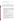This test will result in nine total data points (two zero and one span at each of three pressure conditions) for each target analyte.

#### **7.8 Accuracy**

Accuracy relative to reference method results shall be verified by simultaneously monitoring the emissions from combustion sources with the reference method and with two units of the analyzer being tested. It is recommended that data be taken during steady-state operation (see Section 4.1) of the sources; diesel engine emissions shall be varied by altering the load placed on the engine. Specific procedures to verify accuracy on each combustion source are as follows:

- 1. Perform a zero and span check for  $SO_2$ ,  $CO$ ,  $O_2$ ,  $NO$ , and  $NO_2$  on the analyzer being tested and on the reference method. Use span concentrations similar to the emission levels expected from the combustion source being used. Do not recalibrate or adjust the analyzers in the remainder of the test (the sample conditioning system may be cleaned or changed if necessary, as long as the time and nature of the modification is noted in the verification report).
- 2. Place sampling probes for the analyzer and reference method at the cross-sectional midpoint of the source exhaust stack.
- 3. Once the readings have stabilized, record the  $SO_2$ ,  $CO$ ,  $O_2$ ,  $NO$ ,  $NO_2$ , and/or  $NO_x$ readings of the commercial and reference analyzers.
- 4. Switch the sampling probes for the analyzer to sample ambient air until stable readings are obtained.
- 5. Return the sample probes to the stack and repeat steps 2 to 4 until a total of nine source sampling intervals have been conducted, separated by periods of ambient air sampling.
- 6. Conduct the procedure above on both sources. Repeat the test procedure at one or more separate operating, load, or engine revolution-per-minute conditions. The planned number of measurements to be made is listed in Table 5.
- 7. For one load condition with a diesel engine, conduct an extended sampling interval in place of the last of the nine sampling periods (see Table 5). See Section 7.10 regarding the performance of this procedure.
- 8. Perform a zero and span check for each component on each analyzer after completing all sampling from each source and before proceeding to sampling from the next source. For each source, use the same span gas concentration as in the zero and span check performed before source sampling.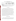#### **Table 5. Summary of Data for Determining Accuracy in the Combustion Source Tests**

| <b>Combustion Source</b>   | Number of<br><b>Source Operating</b><br><b>Conditions</b> | <b>Number of Sampling</b><br><b>Periods per Source</b><br><b>Operating Condition</b> | <b>Total Number of</b><br><b>Measurements to be</b><br><b>Collected for Each</b><br><b>Analyzer</b> <sup>a</sup> |
|----------------------------|-----------------------------------------------------------|--------------------------------------------------------------------------------------|------------------------------------------------------------------------------------------------------------------|
| Cooktop                    |                                                           |                                                                                      |                                                                                                                  |
| Diesel Engine <sup>b</sup> |                                                           | $Q^c$                                                                                |                                                                                                                  |

Number of separate measurements of source emissions to be made for each target analyte, i.e., SO<sub>2</sub>, CO, O<sub>2</sub>, NO, NO<sub>2</sub>, and/or NO<sub>3</sub>.

Three diesel operating conditions are assumed.

c At one condition, an extended sampling period will replace one measurement period (see Section 7.10).

#### **7.9 Zero/Span Drift**

Zero drift and span drift shall be evaluated using data generated in the linearity, interrupted sampling, and ambient temperature tests in the laboratory and the accuracy test on combustion sources. No additional experimental activities are necessary. In the combustion source tests, a zero and span check will be performed for  $SO_2$ ,  $CO$ ,  $O_2$ ,  $NO$ , and  $NO_2$  on each analyzer before sampling the emissions from each source, and then again after the source emissions measurements are completed (steps 1 and 8 of the accuracy test, Section 7.8). The zero and span drift are determined as the difference in response on zero and span gases in these two checks. This comparison shall be made for each analyzer, for all components, and for both zero and span response, using data from all five combustion source test conditions (Table 5) (i.e., 10 zero and 10 span points for each component). In the laboratory, zero and span values determined at the start and end of the linearity and ambient temperature tests will be similarly compared, producing four more zero and four more span points for each species. The interrupted sampling test provides a distinct and independent measure of analyzer drift (zero and span before shutdown and after re-start) (Section 7.6).

#### **7.10 Measurement Stability**

Stability in source sampling also shall be evaluated in conjunction with the accuracy test (Section 7.8). At one load condition during diesel engine sampling, each analyzer shall sample emissions for a full hour continuously. A total of 60 minutes of data shall be collected as a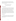continuous one-hour period. Data shall be collected at one-minute intervals from both the reference monitor and the commercial analyzers. Stability shall be assessed based on the uniformity over time of the analyzer's response, with any instability of source output normalized by means of the reference method data.

## **8 QUALITY ASSURANCE/QUALITY CONTROL**

#### **8.1 Instrument Calibration and Frequency**

#### **8.1.1 Reference Instruments**

The instruments to be used for  $O_2$ ,  $NO_x$ ,  $SO_2$ , and CO reference measurements shall be subjected to a four-point calibration with span gas prior to the first day of verification testing, on each measurement range to be used for verification. For each sensor, one of the calibration points will be zero gas; the other three calibration points will be approximately 30, 60, and 100% of the full-scale measuring range. The  $NO<sub>2</sub>$  calibration will be pursuant to EPA EMC ALT-013.<sup>(8)</sup> The calibration error requirement shall be consistent with that in Section 4.1 of Method 6C, 40 CFR Part 60 Appendix A, i.e., the average response at each calibration point shall differ from that predicted by the linear regression to all the data points by less than 2% of the instrument's measuring range. On each day of verification testing, each reference instrument shall undergo a zero and span check in the morning before the start of testing and again after all testing is completed for the day.

#### **8.1.2 Dilution System**

Flow measurement or control devices in the dilution system shall be calibrated prior to the start of the verification test by means of a calibrated manual or automated soap bubble flow meter. Corrections will be applied as necessary to the bubble meter data for temperature, pressure, and water content.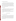#### **8.1.3 Temperature Sensors/Thermometers**

The thermocouple sensor used to determine source emission temperatures and the thermometers used to measure room or chamber temperatures must have been calibrated against a certified temperature measurement standard within the six months preceding the verification test. At least once during this verification test, each source temperature measurement device also must be checked for accuracy as specified in Section 4.2 of Method 2A, 40 CFR Part 60 Appendix A, i.e., by comparison to an American Society for Testing and Materials mercury-inglass reference thermometer. That comparison must be done at ambient temperature; agreement within  $\pm 2\%$  in absolute temperature is required.

#### **8.1.4 Gas Flow Meters**

The dry gas meter must have been calibrated against a volumetric standard within the six months preceding the verification test. In addition, at least once during this verification test the meter calibration must be checked against a reference meter according to the procedure described in Section 4.1 of Method 2A, 40 CFR Part 60 Appendix A.

In addition, any other gas flow devices (e.g., rotameters) used in the verification test must have been compared to an independent flow measurement device within the six months preceding the test.

#### **8.2 Assessments and Audits**

#### **8.2.1 Pre-Test Laboratory Assessment**

If the testing activities are performed by a test facility other than Battelle, Battelle shall assess the facility's capabilities for performing the test and meeting the quality requirements of this protocol prior to initiating the test. Battelle shall request that the test facility provide its laboratory quality management plan; related internal standard operating procedures (SOPs); and any certification records, training records, calibration records, and other documents Battelle deems necessary to ensure that the test facility has the appropriate operational procedures to ensure a high level of quality.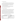#### **8.2.2 Technical Systems Audits**

Battelle's Quality Manager shall perform a TSA once during the verification test. The purpose of this TSA is to ensure that the verification test is being performed in accordance with this protocol, the test/QA plan, the Battelle AMS Center QMP,<sup>(1)</sup> and all associated methods and SOPs. In this audit, the Battelle Quality Manager will review the calibration sources and reference methods used, compare actual test procedures to those specified in this plan, and review data acquisition and handling procedures.

At EPA's discretion, EPA QA staff also may conduct an independent TSA of the verification test. In any case, EPA QA staff will review Battelle's TSA report and provide comments on the findings and actions presented in that report.

#### **8.2.3 Performance Evaluation Audit**

A performance evaluation (PE) audit shall be conducted by Battelle to assess the quality of the measurements made in the verification test. This audit addresses only those measurements made in conducting the verification test, i.e., the analyzers being verified and the vendors operating these analyzers are not the subject of the PE audit. This audit shall be performed by analyzing a standard or comparing the measurements to be audited to a reference that is independent of standards used during the testing. This audit shall be performed once during the verification procedure, using audit standards or reference measurements supplied by Battelle. The audit procedures, which are listed in Table 6, shall be performed under Battelle supervision by the technical staff responsible for the measurements being audited.

| <b>Measurement to be Audited</b>                                     | <b>Audit Procedure</b>                                                    |
|----------------------------------------------------------------------|---------------------------------------------------------------------------|
| Reference methods for $SO_2$ , $CO$ , $O_2$ , NO,<br>NO <sub>2</sub> | Analyze independent standards (i.e., obtained<br>from a different vendor) |
| Temperature                                                          | Compare to independent temperature<br>measurement                         |
| Gas flow rate                                                        | Compare to independent flow measurement                                   |

|  |  | Table 6. Summary of Performance Audit Procedures <sup>a</sup> |  |  |
|--|--|---------------------------------------------------------------|--|--|
|--|--|---------------------------------------------------------------|--|--|

 $\overline{a}$  Each audit procedure will be performed once during the verification test.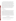The PE audit for the reference methods shall consist of analyzing a set of certified gas standards provided by Battelle for comparison to the corresponding standards used in the verification test. The standards to be provided by Battelle shall be obtained from a different supplier than those used in the verification and shall have nominal concentrations similar to the standards against which they will be compared. Agreement within 5% or within the combined uncertainty of the two standards, whichever is greater, is expected. The PE audit of the temperature and flow-rate measurements will consist of a side-by-side comparison between the measurement devices used in the verification test and independent devices provided by Battelle. Agreement of flow measurements within 5%, and of temperature readings within 2% in absolute temperature, is expected. PE audit results that do not meet these criteria for agreement will trigger a repeat of the audit procedure. If agreement is not reached in the repeated audit, the disagreement will be noted, and the pertinent measurement data will be flagged in the verification report.

#### **8.2.4 Data Quality Audits**

The Battelle Quality Manager shall audit at least 10% of the verification data acquired in the verification test. The Battelle Quality Manager shall trace the data from initial acquisition, through reduction and statistical comparisons, to final reporting. The data quality audit will determine that data are in conformance with all aspects of the protocol, applicable Quality Manaagement Plan, reference method, and any applicable standard operating procedures. The audit shall include recalculation of representative reported data values, comparison of the QC data to the data quality criteria specified in the protocol, and verification that instrumentation and equipment were calibrated and operated as appropriate. The data will then be compared to the results in the report to ensure exactitude of data reporting. The audit will examine how the data were handled, what judgments were made, and whether uncorrected mistakes were made.

#### **8.3 Assessment Reports**

Each assessment and audit shall be documented in accordance with Sections 3.2.1 and 3.3.4 of the QMP for the AMS Center.<sup>(1)</sup> Assessment reports shall include the following:

Identification of any adverse findings or potential problems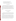- Space for response to adverse findings or potential problems
- Possible recommendations for resolving problems
- Citation of any noteworthy practices that may be of use to others
- Confirmation that solutions have been implemented and are effective.

## **8.4 Corrective Actions**

The Battelle Quality Manager, during the course of any assessment or audit, shall identify to the technical staff performing experimental activities any immediate corrective action that should be taken. If serious quality problems exist, the Battelle Quality Manager is authorized to stop work. Once the assessment report has been prepared, the Battelle Verification Testing Leader, working with the test facility as necessary, shall ensure that a response is provided for each adverse finding or potential problem and implement any necessary follow-up corrective action. The Battelle Quality Manager shall ensure that follow-up corrective action has been taken.

## **9 DATA ANALYSIS AND REPORTING**

#### **9.1 Data Acquisition**

Data acquisition in this verification test includes recording the response data from the analyzers undergoing testing; data from the reference method analyzers; and operational data such as combustion source conditions, test temperatures, calibration information, the times of test activities, etc.

Data acquisition for the commercial analyzers undergoing verification is primarily performed by the vendors or trained operators during the laboratory tests. Each analyzer must have some form of a data acquisition device, such as a digital display whose readings can be recorded manually, a printout of analyzer response, or an electronic data recorder that stores individual analyzer readings. In all laboratory tests, the vendor shall be responsible for reporting the response of the analyzer to the sample matrices provided. In most laboratory tests, the analyzer response to be reported should be in the form of an average or stable reading.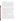However, in the response time test, the response should be reported as individual readings obtained at 10-second intervals.

In general, data acquisition for the commercial analyzers and reference monitors must be simultaneous during the combustion source tests to properly compare the two methods. For all commercial analyzers that can produce an analog or digital electronic output, a data acquisition system shall be used to record both the commercial analyzer and reference monitor responses during these tests. Data acquisition for the zero/span drift test shall be based on average or stable responses similar to those for most of the laboratory tests, as noted above. For analyzers that provide only visual or printed output, data shall be recorded manually and simultaneously for both the analyzers being tested and the reference monitor, using forms provided for this purpose.

Other data shall be recorded in laboratory record books maintained by each staff member involved in the testing. These records shall be reviewed on a daily basis by test facility staff to identify and resolve any inconsistencies. All data entered in record books or on test data sheets must be entered directly, promptly, and legibly. All entries must be made in ink, and each page or data sheet must be signed and dated by the person making the entry. Changes or corrections to data must be made by drawing a single line through the error, initialing and dating the correction, and adding a short explanation for any non-obvious error corrections.

In all cases, strict confidentiality of data from each vendor's analyzers, and strict separation of data from different analyzers, shall be maintained. This will be accomplished in part by the separation in time between each test on different analyzers. More importantly, separate files (including manual records, printouts, and/or electronic data files) will be kept for each analyzer. At no time during verification testing will staff engage in any comparison or discussion of test data or of different analyzers.

Table 7 summarizes the types of data to be recorded; how, how often, and by whom the recording is made; and the disposition or subsequent processing of the data. The general approach is to record all test information immediately and in a consistent format throughout all tests. Data recorded by the vendors are to be turned over to testing staff immediately upon completion of the test procedure. Test records will then be converted to Excel spreadsheet files by the same staff who conducted the verification tests. Identical file formats will be used for the data from all analyzers tested to assure uniformity of data treatment. Separate data files will be kept for each of the two identical analyzers provided by each vendor to assure separation of data

35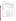and facilitate intercomparisons of the two units. This process of data recording and compiling shall be overseen by the test facility supervisor.

| Data to be<br><b>Recorded</b>                                                                                                  | <b>Responsible</b><br>Party | <b>Where</b><br><b>Recorded</b>                                     | <b>How Often</b><br><b>Recorded</b>                                                | <b>Disposition of Data<sup>a</sup></b>                                                          |
|--------------------------------------------------------------------------------------------------------------------------------|-----------------------------|---------------------------------------------------------------------|------------------------------------------------------------------------------------|-------------------------------------------------------------------------------------------------|
| Dates, times of test<br>events                                                                                                 | Test facility               | Laboratory<br>record books                                          | Start/end of test,<br>and at each change<br>of a test parameter                    | Used to check test<br>results; manually<br>incorporated in data<br>spreadsheets as<br>necessary |
| Test parameters<br>(temperature,<br>pressure, analyte/<br>interferent<br>identities and<br>concentrations, gas<br>flows, etc.) | Test facility               | Laboratory<br>record books                                          | When set or<br>changed, or as<br>needed to<br>document stability                   | Used to check test<br>results, manually<br>incorporated in data<br>spreadsheets as<br>necessary |
| Portable analyzer<br>readings<br>- digital display                                                                             | Vendor/<br>operator         | Data sheets<br>provided by<br>test facility                         | At specified<br>intervals during<br>each test                                      | Manually entered into<br>spreadsheets                                                           |
| - printout                                                                                                                     | Vendor/<br>operator         | Original to test<br>facility, copy<br>to vendor                     | At specified<br>intervals during<br>each test                                      | Manually entered into<br>spreadsheets                                                           |
| - electronic output                                                                                                            | Vendor/test<br>facility     | Data<br>acquisition<br>system (data<br>logger, PC,<br>laptop, etc.) | Continuously at<br>specified<br>acquisition rate<br>throughout each<br>test        | Electronically<br>transferred to<br>spreadsheets                                                |
| Reference monitor<br>readings                                                                                                  | Test facility               | Data sheets, or<br>data<br>acquisition<br>system, as<br>appropriate | At specified<br>intervals, or<br>continuously at<br>specified rate in<br>each test | Transferred to<br>spreadsheets                                                                  |

**Table 7. Summary of Data Recording Process** 

<sup>a</sup> All activities subsequent to data recording are carried out by the test facility.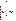#### **9.2 Statistical Calculations**

The analyzer performance characteristics are quantified on the basis of statistical comparisons of the test data. This process begins with converting the spreadsheet files that result from the data acquisition process (Section 9.1) into data files suitable for evaluation with SAS statistical software. The following are the statistical procedures used to make those comparisons.

#### **9.2.1 Linearity**

Linearity shall be assessed by linear regression with the calibration concentration as independent variable and the analyzer response as dependent variable. A separate calibration shall be carried out for each unit. The calibration model is:

$$
Y_c = h(c) + error_c
$$

where  $Y_c$  is the analyzer's response to a challenge concentration  $c, h(c)$  is a linear calibration curve, and the error term is assumed to be normally distributed. If the variability is not constant throughout the range of concentrations, then weighting in the linear regression is appropriate. It is often the case that the variability increases proportionally with the true concentration. The variability  $(\sigma)$  of the measured concentration values  $(c)$  may be modeled by the following relationship:

$$
\sigma_c^2 = \alpha + k_c^2
$$

where  $\alpha$ , *k* and  $\beta$  are constants to be estimated from the data. After determining the relationship between the mean and variability, appropriate weighting shall be determined such as

$$
weight = w_c = \frac{1}{\mathbf{s}^2}.
$$

The form of the regression model to be fitted is  $h(c) = \alpha_o + \alpha_i c$ . Concentration values shall be calculated from the estimated calibration curve using the formula

$$
c = h^{-1}(Y_c) = (Y_c - \alpha_o)/\alpha_I
$$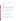A test for departure from linearity may be carried out by comparing the residual sum of squares

$$
\sum_{i=1}^6 \left( \overline{Y}_{c_i} \cdot \mathbf{a}_o \cdot \mathbf{a}_I c_i \right)^2 n_{c_i} w_{c_i}
$$

to a chi-square distribution with  $6-2 = 4$  degrees of freedom. ( $n_c$  is the number of replicates at concentration c).

#### **9.2.2 Response Time**

The response time of the analyzer to a step change in analyte concentration is calculated by determining the total change in response due to the step change (either increase or decrease) in concentration, and then determining the point in time when 95% of that change was achieved. Both rise and fall time shall be determined. Using data taken every 10 seconds, the following calculation is done:

$$
Total Response = R_a - R_b
$$

where  $R_a$  is the final response of the analyzer to the test gas after the step change, and  $R_b$  is the final response of the analyzer before the step change. The analyzer response that indicates the response time then is

$$
Response_{RT} = 0.95 (Total Response)
$$

The point in time at which this response occurs is determined by inspection of the response/time data, and the response time is then calculated as

$$
RT = Time_{95\%} - Time_b
$$

where  $Time_{95\%}$  is the time at which response occurs and  $Time_{I}$  is the time at which the step change in concentration was imposed. Since only one determination will be made, the precision of the rise and fall time results cannot be estimated.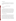#### **9.2.3 Detection Limit**

The detection limit (LOD) shall be defined as the smallest concentration at which the analyzer's expected response exceeds the calibration curve at zero concentration by three times the standard deviation of the analyzer's zero reading, i.e.,  $\alpha_0 + 3 \sigma_0$ . The LOD may then be determined by

$$
LOD = [(\alpha_o + 3\sigma_o) - \alpha_o]/\alpha_1 = 3\sigma_o/\alpha_1
$$

where  $\sigma_o$  is the estimated standard deviation at zero concentration.

#### **9.2.4 Interferences**

The extent of interference shall be reported in terms of the absolute response of the analyzer to the interferent and will be calculated in terms of the sensitivity of the analyzer to the interfering species, relative to its sensitivity to  $SO_2$ ,  $CO$ ,  $O_2$ ,  $NO$ , or  $NO_2$ . The relative sensitivity is calculated as the ratio of the observed response of the analyzer to the actual concentration of the interferent. For example, an analyzer that measures NO is challenged with 500 ppmv of CO, resulting in a difference in NO reading of 1 ppmv. The relative sensitivity of the NO analyzer to CO is thus 1 ppmv/500 ppmv =  $0.2\%$ . The precision of the interference results cannot be estimated from the data obtained, since only one measurement is made for each interferent.

#### **9.2.5 Ambient Temperature Effect**

The analyzer response data obtained from a single point span check or a zero check at a given temperature and a given concentration (i.e., zero or span) are not statistically independent. Therefore, the average value in each sampling period shall be used as a single value in the comparison. Thus, at room temperature, low temperature, and high temperature, there will be two data points for each analyzer, namely the average response on zero gas and the average response on span gas for each target analyte. Variability for low and for high temperatures shall be assumed to be the same as the variability at room temperature, and the variability determined in the linearity test shall be used for this analysis. The presence of an ambient temperature effect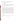on zero and span readings shall then be assessed by trend analysis for response with temperature, using separate linear regression analyses for the zero and for the span data.

#### **9.2.6 Interrupted Sampling**

The effect of interrupted sampling shall be assessed as the arithmetic difference between zero data and between span data obtained before and after the test. Differences shall be stated in ppmv. No estimate can be made of the precision of the observed differences.

#### **9.2.7 Pressure Sensitivity**

The statistical analysis for evaluation of flow-rate effects shall be similar to that used for assessing the ambient temperature effect. The analyzer response data at a given duct pressure and a given concentration (i.e., zero or span) are not statistically independent; therefore, the average value in each sampling period will be used in the comparison. Thus, at each of ambient pressure, reduced pressure, and increased pressure, there will be three total data points for each analyzer, namely the analyzer flow rate, average response on zero gas, and average response on span gas. Variability for reduced and increased pressures will be assumed to be the same as the variability at ambient pressure, and the variability determined in the linearity test will be used for this analysis. The presence of a duct pressure effect on analyzer flow rates and response shall then be assessed by separate linear regression trend analyses for flow rate and for response. The trend analysis for response will consist of separate analyses for the zero and for the span data.

#### **9.2.8 Accuracy**

The percent relative accuracy (RA) of the analyzers with respect to the reference method shall be assessed by

$$
RA = \frac{|\overline{d}| + t_{n-1}^{\mathbf{a}} \frac{S_d}{\sqrt{n}}}{\overline{x}} \times 100\%
$$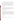where  $\overline{d}$  refers to the average difference between the reference and tested methods, and  $x$  corresponds to the average reference method value.  $S_d$  denotes the sample standard deviation of the differences and will be estimated based on  $n = 9$  samples, while  $t^{\alpha}_{n-1}$  is the t value for the  $100(1 - \alpha)$ th percentile of the distribution with n-1 degrees of freedom. The RA will be determined for an  $\alpha$  value of 0.025 (i.e., 97.5% confidence level, one-tailed). The RA calculated in this way can be interpreted as an upper confidence bound for the relative bias of the analyzer. RA will be calculated separately for each unit of each portable analyzer being tested.

#### **9.2.9 Zero/Span Drift**

Statistical procedures for assessing zero and span drift shall be similar to those used to assess interrupted sampling. Zero (span) drift will be calculated as the arithmetic difference between zero (span) values obtained before and after sampling of source emissions. No estimate can be made of the precision of the zero and span drift values.

#### **9.2.10 Measurement Stability**

The temporal stability of analyzer response in extended sampling from a combustion source shall be assessed by means of a trend analysis on the 60 minutes of data from this test. The existence of a trend in the data will be assessed by fitting a linear regression line, with the difference between analyzer and corresponding reference readings as the dependent variable and time as the independent variable. Subtracting the reference readings from the analyzer readings in this way corrects for any variation in the source output. The null hypothesis that the slope of the trend line is zero, i.e.,

 $H_0$ : slope = 0  $H_a$ : slope  $\neq 0$ 

will be tested using a one-sample two-tailed t-test with  $n-2 = 58$  degrees of freedom.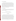#### **9.2.11 Inter-Unit Repeatability**

The purpose of this comparison is to determine if any significant differences in performance exist between two nominally identical commercial analyzer units operating side by side. Inter-unit repeatability shall be assessed for the linearity, detection limit, accuracy, and measurement stability tests. A Student's t-test will be used as the means of comparison where appropriate. For example, the slopes of the calibration lines determined in the linearity test, and the detection limits determined from those test data, will be compared. For the measurement stability test, inter-unit repeatability will be assessed by a linear regression of the inter-unit difference against time. The null hypothesis that the slope of the line is zero will be tested using a matched-pairs t-test with  $n-2 = 58$  degrees of freedom.

#### **9.2.12 Data Completeness**

Data completeness shall be calculated as the percentage of possible data recovered from an analyzer in a test. It is calculated as the ratio of the actual to the possible number of data points, converted to a percentage, i.e.,

Data Completeness =  $(N_a)/(N_p)$  x 100%,

where  $N_a$  is the number of actual and  $N_p$  the number of possible data points.

#### **9.3 Data Review**

Records generated by test facility staff in the verification test shall be reviewed within two weeks after generation, before these records are used to calculate, evaluate, or report verification results. These records may include laboratory record books, operating data from the combustion sources, equipment calibration records, and data sheets used to record the analyzers' response or other parameters in the laboratory or combustion source experiments. This review shall be performed by a test facility technical staff member involved in the verification test, but not the staff member that originally generated the record. The review shall be documented by the person performing the review by adding his/her initials and the date to a hard copy of the record being reviewed. This hard copy shall then be returned to the test facility staff member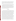who generated or will be storing the record. In addition, data calculations performed by the test facility shall be spot-checked by the facility technical staff to ensure that calculations are performed correctly. Calculations to be checked include determination of analyzer precision, accuracy, detection limit, and other statistical calculations identified in Section 9.2 of this protocol.

All data recorded electronically or manually, whether by the vendor or by test facility staff, become part of the test record for reporting purposes. Manual data entries must be made in ink, and appropriate record book pages or data sheets must be dated and signed by the responsible staff member(s). Any error corrections to written data must be made by drawing a single line through the error, initialing and dating the correction, and adding a short explanation for any non-obvious error corrections. Any deviations from the test/QA plan will be documented by recording the nature and cause of the deviation, the corrective action taken, and the impact of the deviation on the verification test results.

#### **9.4 Reporting**

The statistical data that result from each of the tests described above shall be compared separately for each unit of each analyzer, and information on the additional cost factors will be compiled. The test facility (if testing is not conducted by Battelle) shall prepare a test data report for each technology that summarizes all test procedures and data and includes a summary of any amendments or deviations from the test/QA plan required in testing. A package containing copies of all raw test data and records also shall be prepared. The test facility shall provide the test data report to Battelle in an electronic file and hard copy and the data package in hard copy. Battelle will then prepare separate verification reports that will each address the analyzer provided by one commercial vendor. The results for the two units tested will be included separately in the ETV verification report (i.e., no averaging of the two results will be done). For each test conducted in the verification, the verification report will present the test data, as well as the results of the statistical evaluation of those data. The verification report will briefly describe the ETV program, the AMS center, and the procedures used in verification testing. These sections will be common to each verification report resulting from the verification test. The results of the verification test will then be stated quantitatively, without comparison to any other analyzer tested or any comment on the acceptability of the analyzer's performance. The preparation of draft ETV verification reports, the review of reports by vendors and others, the

43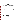revision of the reports, the final approval, and the distribution of the reports will be conducted as stated in the Generic Verification Protocol for the Advanced Monitoring Systems Pilot.<sup>(11)</sup> Preparation, approval, and use of verification statements summarizing the results of this test will also be subject to the requirements of that same protocol.

## **10 HEALTH AND SAFETY**

Battelle staff and subcontracted testing laboratory staff involved in the verification test, shall operate under established health and safety requirements and guidance. Vendor staff shall operate their analyzers in the test facility during the verification test. Health and safety requirements and guidance are provided in the following paragraphs.

#### **10.1 Access**

Vendor staff shall be required to sign in at the test facility at the beginning of each day and sign out at the end of each day for the period of the verification test.

#### **10.2 Potential Hazards**

Vendor staff shall operate only their analyzers during the verification test. They are not responsible for, nor permitted to, generate dilution gases, operate combustion sources, or perform any other verification activities identified in this protocol. Operation of analyzers does not pose any known chemical, fire, mechanical, electrical, noise, or other potential hazard. Operation of emissions sources may pose fire and/or noise hazards. Vendor staff shall be provided with safety training, shown the location of fire extinguishers and gas shutoff valves, and provided with hearing protection when necessary.

#### **10.3 Training**

All Battelle, EPA, and vendor staff shall be given a safety briefing prior to their activities in the test facility. This briefing will include a description of emergency operating procedures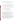(i.e., in case of fire, earthquake, bomb, laboratory accident) and identification, location, and operation of safety equipment (e.g., fire alarms, fire extinguishers, eye washes, exits).

## **10.4 Safe Work Practices**

The following safe work practices must be followed by all staff in this verification test:

- Staff will be required to wear long pants and safety shoes (no open-toed sandals). Laboratory coats and protective glasses will be provided where necessary.
- Eating, drinking, and smoking are only permitted in designated areas.
- A "three warning" system will be used to enforce compliance with these safety practices:
- First infraction—violator receives a verbal warning
- Second infraction—violator receives a written warning
- Third infraction—violators will be requested to leave the test facility.

## **11 REFERENCES**

- 1. Quality Management Plan (QMP) for the ETV Advanced Monitoring Systems Center, Version 4.0, U.S. EPA Environmental Technology Verification Program, prepared by Battelle, Columbus, Ohio, December 2002.
- 2. Method 6C—Determination of Sulfur Dioxide Emissions from Stationary Sources (Instrumental Analyzer Procedure), EMTIC TM-006C, Emission Measurement Center, Technical Support Division, OAQPS, U.S. EPA, March 1990.
- 3. Method 100—Procedures for Continuous Gaseous Emission Stack Sampling, California Environmental Protection Agency Air Resources Board, July 1997.
- 4. Method 3A—Determination of Oxygen and Carbon Dioxide Concentrations in Emissions from Stationary Sources (Instrumental Analyzer Procedure), EMTIC TM-003A, Emission Measurement Center, Technical Support Division, OAQPS, U.S. EPA, May 1989.
- 5. Method 7E—Determination of Nitrogen Oxides Emissions from Stationary Sources (Instrumental Analyzer Procedure), EMTIC TM-007E, Emission Measurement Center, Technical Support Division, OAQPS, U.S. EPA, May 1990.